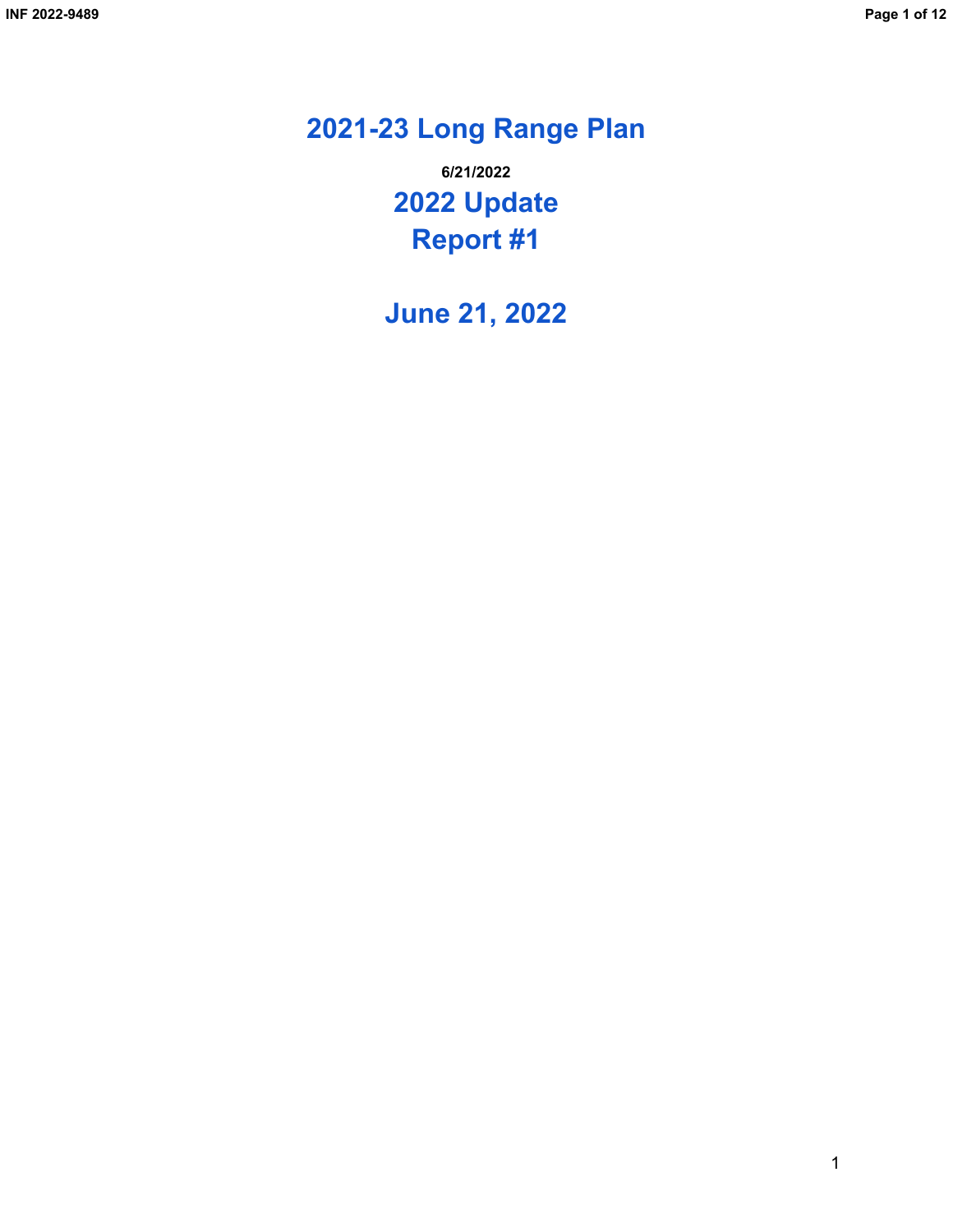# **2021-23 Long Range Plan**

**2022 Update Report #1 6/21/2022**

**June 21, 2022**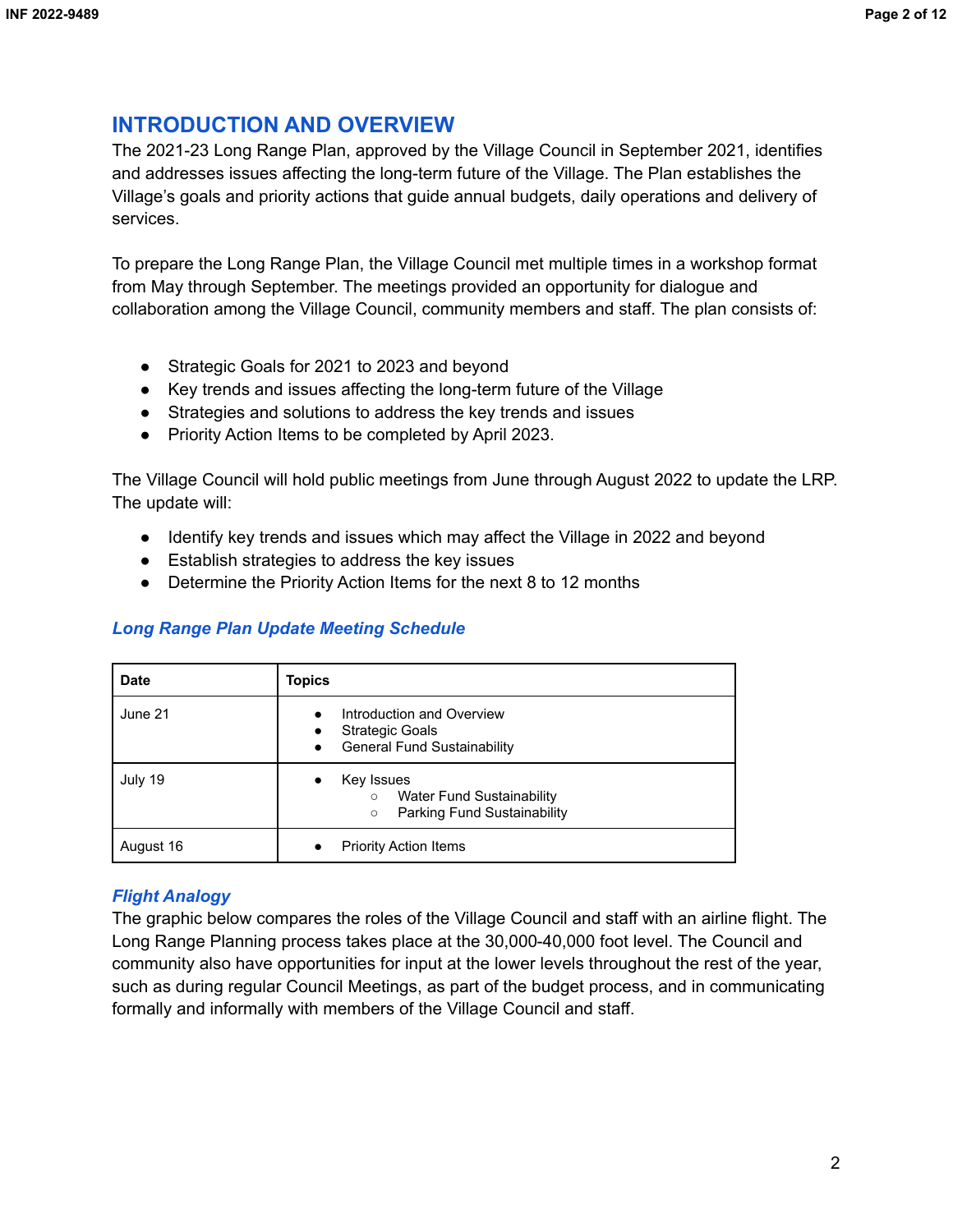# **INTRODUCTION AND OVERVIEW**

The 2021-23 Long Range Plan, approved by the Village Council in September 2021, identifies and addresses issues affecting the long-term future of the Village. The Plan establishes the Village's goals and priority actions that guide annual budgets, daily operations and delivery of services.

To prepare the Long Range Plan, the Village Council met multiple times in a workshop format from May through September. The meetings provided an opportunity for dialogue and collaboration among the Village Council, community members and staff. The plan consists of:

- Strategic Goals for 2021 to 2023 and beyond
- Key trends and issues affecting the long-term future of the Village
- Strategies and solutions to address the key trends and issues
- Priority Action Items to be completed by April 2023.

The Village Council will hold public meetings from June through August 2022 to update the LRP. The update will:

- Identify key trends and issues which may affect the Village in 2022 and beyond
- Establish strategies to address the key issues
- Determine the Priority Action Items for the next 8 to 12 months

# *Long Range Plan Update Meeting Schedule*

| <b>Date</b> | <b>Topics</b>                                                                                                                    |
|-------------|----------------------------------------------------------------------------------------------------------------------------------|
| June 21     | Introduction and Overview<br>$\bullet$<br><b>Strategic Goals</b><br>$\bullet$<br><b>General Fund Sustainability</b><br>$\bullet$ |
| July 19     | Key Issues<br>$\bullet$<br>Water Fund Sustainability<br>$\circ$<br>Parking Fund Sustainability<br>$\circ$                        |
| August 16   | <b>Priority Action Items</b><br>٠                                                                                                |

# *Flight Analogy*

The graphic below compares the roles of the Village Council and staff with an airline flight. The Long Range Planning process takes place at the 30,000-40,000 foot level. The Council and community also have opportunities for input at the lower levels throughout the rest of the year, such as during regular Council Meetings, as part of the budget process, and in communicating formally and informally with members of the Village Council and staff.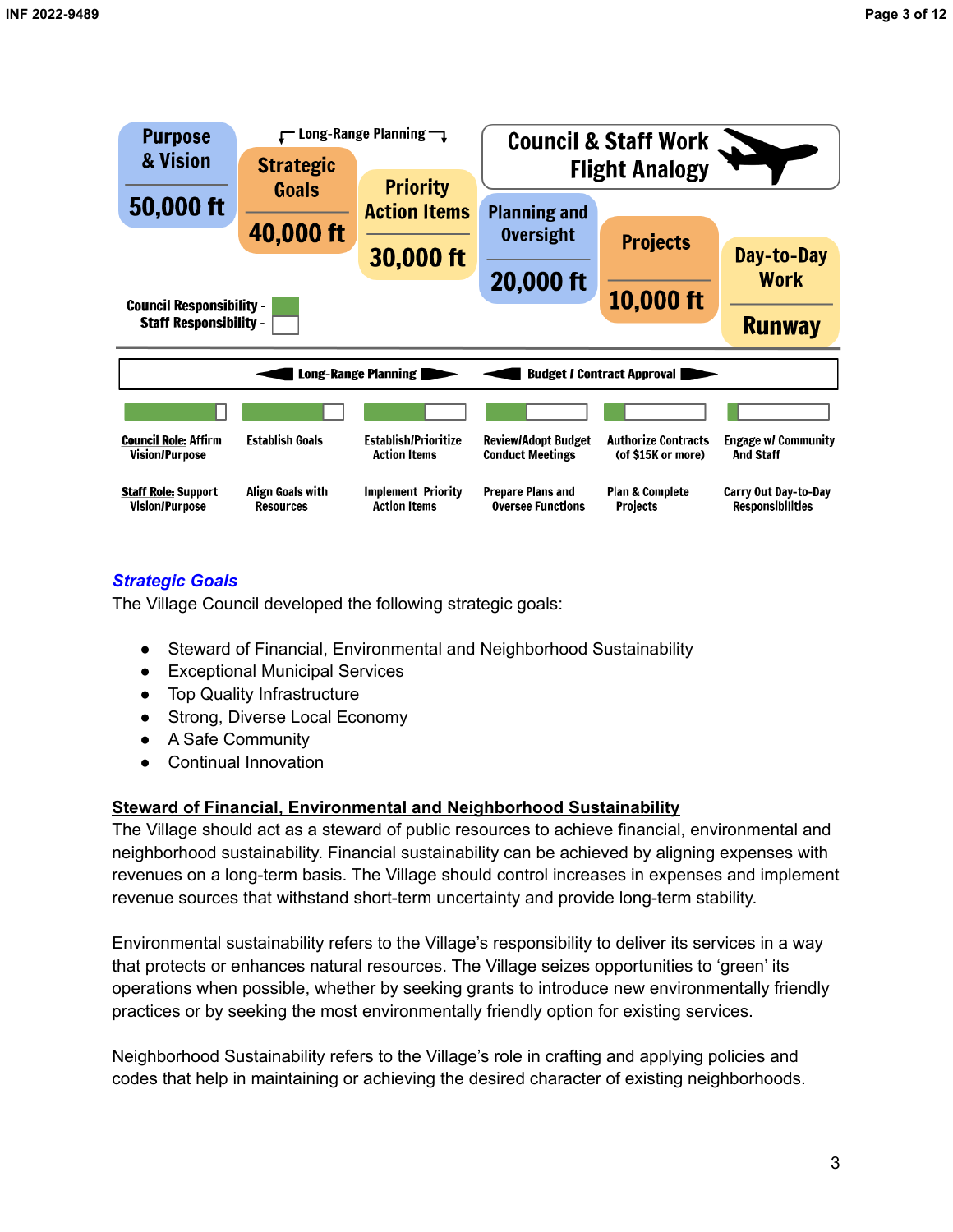

# *Strategic Goals*

The Village Council developed the following strategic goals:

- Steward of Financial, Environmental and Neighborhood Sustainability
- Exceptional Municipal Services
- Top Quality Infrastructure
- Strong, Diverse Local Economy
- A Safe Community
- Continual Innovation

## **Steward of Financial, Environmental and Neighborhood Sustainability**

The Village should act as a steward of public resources to achieve financial, environmental and neighborhood sustainability. Financial sustainability can be achieved by aligning expenses with revenues on a long-term basis. The Village should control increases in expenses and implement revenue sources that withstand short-term uncertainty and provide long-term stability.

Environmental sustainability refers to the Village's responsibility to deliver its services in a way that protects or enhances natural resources. The Village seizes opportunities to 'green' its operations when possible, whether by seeking grants to introduce new environmentally friendly practices or by seeking the most environmentally friendly option for existing services.

Neighborhood Sustainability refers to the Village's role in crafting and applying policies and codes that help in maintaining or achieving the desired character of existing neighborhoods.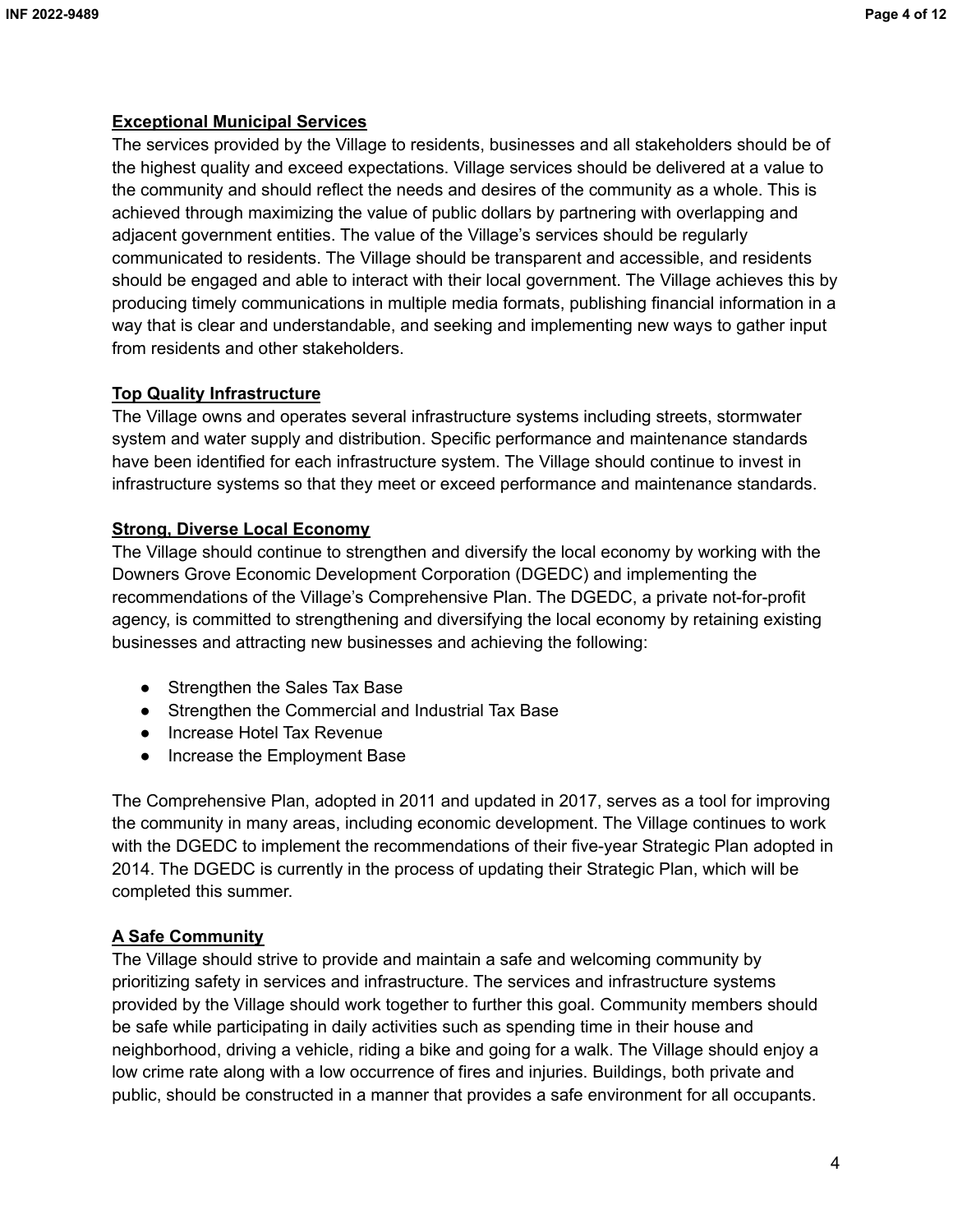## **Exceptional Municipal Services**

The services provided by the Village to residents, businesses and all stakeholders should be of the highest quality and exceed expectations. Village services should be delivered at a value to the community and should reflect the needs and desires of the community as a whole. This is achieved through maximizing the value of public dollars by partnering with overlapping and adjacent government entities. The value of the Village's services should be regularly communicated to residents. The Village should be transparent and accessible, and residents should be engaged and able to interact with their local government. The Village achieves this by producing timely communications in multiple media formats, publishing financial information in a way that is clear and understandable, and seeking and implementing new ways to gather input from residents and other stakeholders.

## **Top Quality Infrastructure**

The Village owns and operates several infrastructure systems including streets, stormwater system and water supply and distribution. Specific performance and maintenance standards have been identified for each infrastructure system. The Village should continue to invest in infrastructure systems so that they meet or exceed performance and maintenance standards.

## **Strong, Diverse Local Economy**

The Village should continue to strengthen and diversify the local economy by working with the Downers Grove Economic Development Corporation (DGEDC) and implementing the recommendations of the Village's Comprehensive Plan. The DGEDC, a private not-for-profit agency, is committed to strengthening and diversifying the local economy by retaining existing businesses and attracting new businesses and achieving the following:

- Strengthen the Sales Tax Base
- Strengthen the Commercial and Industrial Tax Base
- Increase Hotel Tax Revenue
- Increase the Employment Base

The Comprehensive Plan, adopted in 2011 and updated in 2017, serves as a tool for improving the community in many areas, including economic development. The Village continues to work with the DGEDC to implement the recommendations of their five-year Strategic Plan adopted in 2014. The DGEDC is currently in the process of updating their Strategic Plan, which will be completed this summer.

# **A Safe Community**

The Village should strive to provide and maintain a safe and welcoming community by prioritizing safety in services and infrastructure. The services and infrastructure systems provided by the Village should work together to further this goal. Community members should be safe while participating in daily activities such as spending time in their house and neighborhood, driving a vehicle, riding a bike and going for a walk. The Village should enjoy a low crime rate along with a low occurrence of fires and injuries. Buildings, both private and public, should be constructed in a manner that provides a safe environment for all occupants.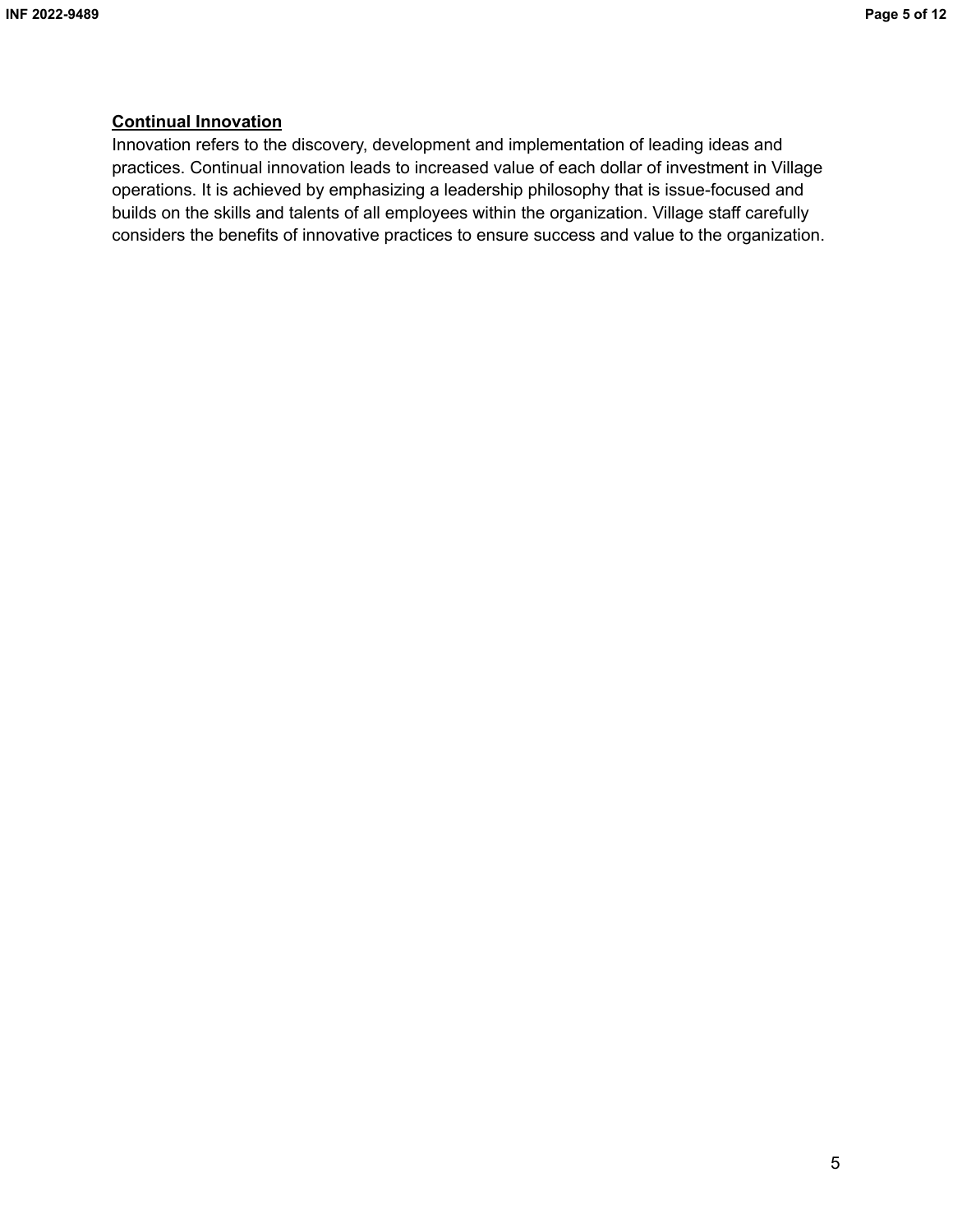## **Continual Innovation**

Innovation refers to the discovery, development and implementation of leading ideas and practices. Continual innovation leads to increased value of each dollar of investment in Village operations. It is achieved by emphasizing a leadership philosophy that is issue-focused and builds on the skills and talents of all employees within the organization. Village staff carefully considers the benefits of innovative practices to ensure success and value to the organization.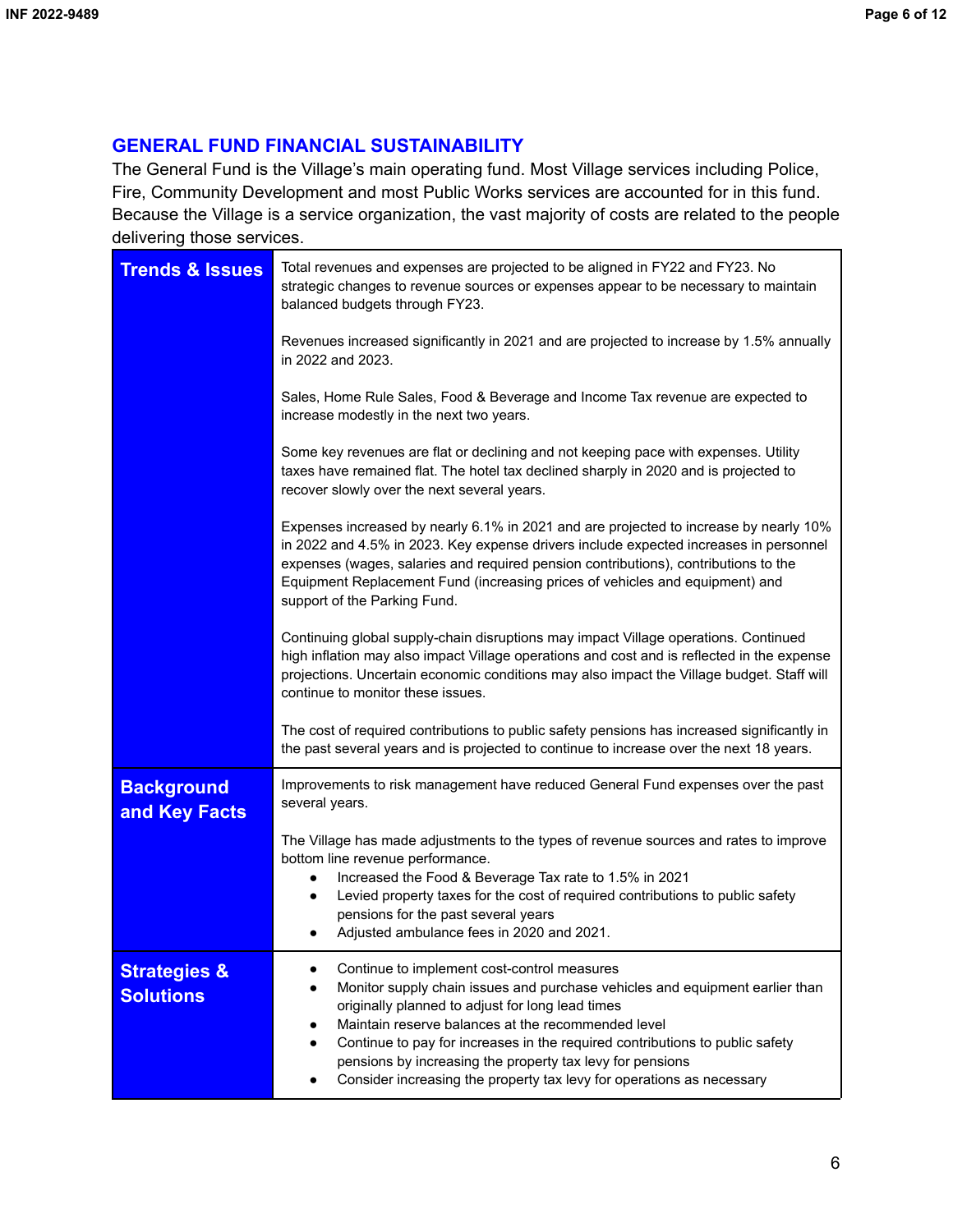# **GENERAL FUND FINANCIAL SUSTAINABILITY**

The General Fund is the Village's main operating fund. Most Village services including Police, Fire, Community Development and most Public Works services are accounted for in this fund. Because the Village is a service organization, the vast majority of costs are related to the people delivering those services.

| <b>Trends &amp; Issues</b>                  | Total revenues and expenses are projected to be aligned in FY22 and FY23. No<br>strategic changes to revenue sources or expenses appear to be necessary to maintain<br>balanced budgets through FY23.                                                                                                                                                                                                                                                                    |  |  |  |  |  |  |  |
|---------------------------------------------|--------------------------------------------------------------------------------------------------------------------------------------------------------------------------------------------------------------------------------------------------------------------------------------------------------------------------------------------------------------------------------------------------------------------------------------------------------------------------|--|--|--|--|--|--|--|
|                                             | Revenues increased significantly in 2021 and are projected to increase by 1.5% annually<br>in 2022 and 2023.                                                                                                                                                                                                                                                                                                                                                             |  |  |  |  |  |  |  |
|                                             | Sales, Home Rule Sales, Food & Beverage and Income Tax revenue are expected to<br>increase modestly in the next two years.                                                                                                                                                                                                                                                                                                                                               |  |  |  |  |  |  |  |
|                                             | Some key revenues are flat or declining and not keeping pace with expenses. Utility<br>taxes have remained flat. The hotel tax declined sharply in 2020 and is projected to<br>recover slowly over the next several years.                                                                                                                                                                                                                                               |  |  |  |  |  |  |  |
|                                             | Expenses increased by nearly 6.1% in 2021 and are projected to increase by nearly 10%<br>in 2022 and 4.5% in 2023. Key expense drivers include expected increases in personnel<br>expenses (wages, salaries and required pension contributions), contributions to the<br>Equipment Replacement Fund (increasing prices of vehicles and equipment) and<br>support of the Parking Fund.                                                                                    |  |  |  |  |  |  |  |
|                                             | Continuing global supply-chain disruptions may impact Village operations. Continued<br>high inflation may also impact Village operations and cost and is reflected in the expense<br>projections. Uncertain economic conditions may also impact the Village budget. Staff will<br>continue to monitor these issues.                                                                                                                                                      |  |  |  |  |  |  |  |
|                                             | The cost of required contributions to public safety pensions has increased significantly in<br>the past several years and is projected to continue to increase over the next 18 years.                                                                                                                                                                                                                                                                                   |  |  |  |  |  |  |  |
| <b>Background</b><br>and Key Facts          | Improvements to risk management have reduced General Fund expenses over the past<br>several years.                                                                                                                                                                                                                                                                                                                                                                       |  |  |  |  |  |  |  |
|                                             | The Village has made adjustments to the types of revenue sources and rates to improve<br>bottom line revenue performance.<br>Increased the Food & Beverage Tax rate to 1.5% in 2021<br>Levied property taxes for the cost of required contributions to public safety<br>pensions for the past several years<br>Adjusted ambulance fees in 2020 and 2021.                                                                                                                 |  |  |  |  |  |  |  |
| <b>Strategies &amp;</b><br><b>Solutions</b> | Continue to implement cost-control measures<br>Monitor supply chain issues and purchase vehicles and equipment earlier than<br>originally planned to adjust for long lead times<br>Maintain reserve balances at the recommended level<br>Continue to pay for increases in the required contributions to public safety<br>pensions by increasing the property tax levy for pensions<br>Consider increasing the property tax levy for operations as necessary<br>$\bullet$ |  |  |  |  |  |  |  |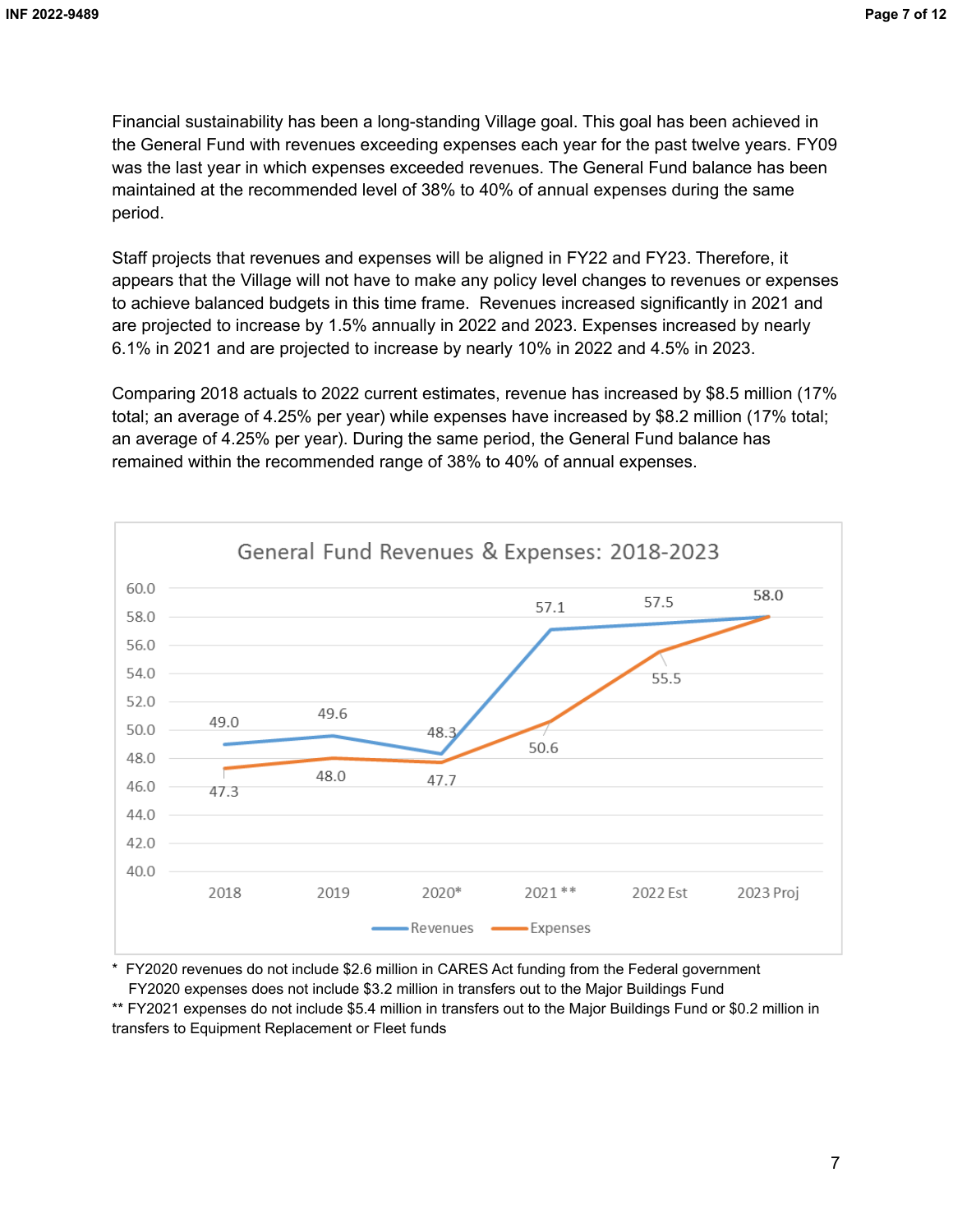Financial sustainability has been a long-standing Village goal. This goal has been achieved in the General Fund with revenues exceeding expenses each year for the past twelve years. FY09 was the last year in which expenses exceeded revenues. The General Fund balance has been maintained at the recommended level of 38% to 40% of annual expenses during the same period.

Staff projects that revenues and expenses will be aligned in FY22 and FY23. Therefore, it appears that the Village will not have to make any policy level changes to revenues or expenses to achieve balanced budgets in this time frame. Revenues increased significantly in 2021 and are projected to increase by 1.5% annually in 2022 and 2023. Expenses increased by nearly 6.1% in 2021 and are projected to increase by nearly 10% in 2022 and 4.5% in 2023.

Comparing 2018 actuals to 2022 current estimates, revenue has increased by \$8.5 million (17% total; an average of 4.25% per year) while expenses have increased by \$8.2 million (17% total; an average of 4.25% per year). During the same period, the General Fund balance has remained within the recommended range of 38% to 40% of annual expenses.



\* FY2020 revenues do not include \$2.6 million in CARES Act funding from the Federal government FY2020 expenses does not include \$3.2 million in transfers out to the Major Buildings Fund

\*\* FY2021 expenses do not include \$5.4 million in transfers out to the Major Buildings Fund or \$0.2 million in transfers to Equipment Replacement or Fleet funds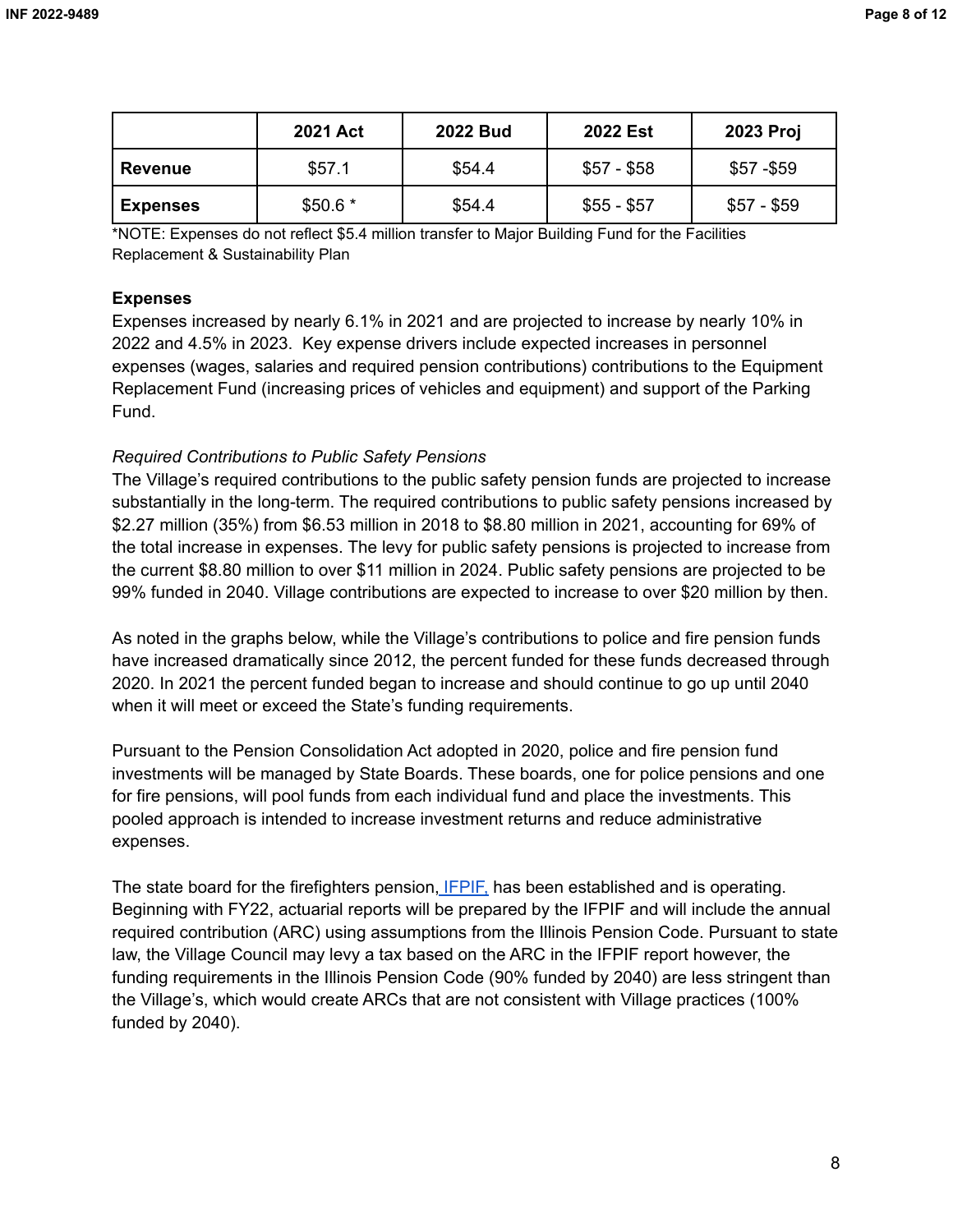|                 | <b>2021 Act</b> | <b>2022 Bud</b> | <b>2022 Est</b> | 2023 Proj   |
|-----------------|-----------------|-----------------|-----------------|-------------|
| <b>Revenue</b>  | \$57.1          | \$54.4          | $$57 - $58$     | $$57 - $59$ |
| <b>Expenses</b> | $$50.6*$        | \$54.4          | $$55 - $57$     | $$57 - $59$ |

\*NOTE: Expenses do not reflect \$5.4 million transfer to Major Building Fund for the Facilities Replacement & Sustainability Plan

#### **Expenses**

Expenses increased by nearly 6.1% in 2021 and are projected to increase by nearly 10% in 2022 and 4.5% in 2023. Key expense drivers include expected increases in personnel expenses (wages, salaries and required pension contributions) contributions to the Equipment Replacement Fund (increasing prices of vehicles and equipment) and support of the Parking Fund.

## *Required Contributions to Public Safety Pensions*

The Village's required contributions to the public safety pension funds are projected to increase substantially in the long-term. The required contributions to public safety pensions increased by \$2.27 million (35%) from \$6.53 million in 2018 to \$8.80 million in 2021, accounting for 69% of the total increase in expenses. The levy for public safety pensions is projected to increase from the current \$8.80 million to over \$11 million in 2024. Public safety pensions are projected to be 99% funded in 2040. Village contributions are expected to increase to over \$20 million by then.

As noted in the graphs below, while the Village's contributions to police and fire pension funds have increased dramatically since 2012, the percent funded for these funds decreased through 2020. In 2021 the percent funded began to increase and should continue to go up until 2040 when it will meet or exceed the State's funding requirements.

Pursuant to the Pension Consolidation Act adopted in 2020, police and fire pension fund investments will be managed by State Boards. These boards, one for police pensions and one for fire pensions, will pool funds from each individual fund and place the investments. This pooled approach is intended to increase investment returns and reduce administrative expenses.

The state board for the firefighters pension, [IFPIF,](https://ifpif.org/) has been established and is operating. Beginning with FY22, actuarial reports will be prepared by the IFPIF and will include the annual required contribution (ARC) using assumptions from the Illinois Pension Code. Pursuant to state law, the Village Council may levy a tax based on the ARC in the IFPIF report however, the funding requirements in the Illinois Pension Code (90% funded by 2040) are less stringent than the Village's, which would create ARCs that are not consistent with Village practices (100% funded by 2040).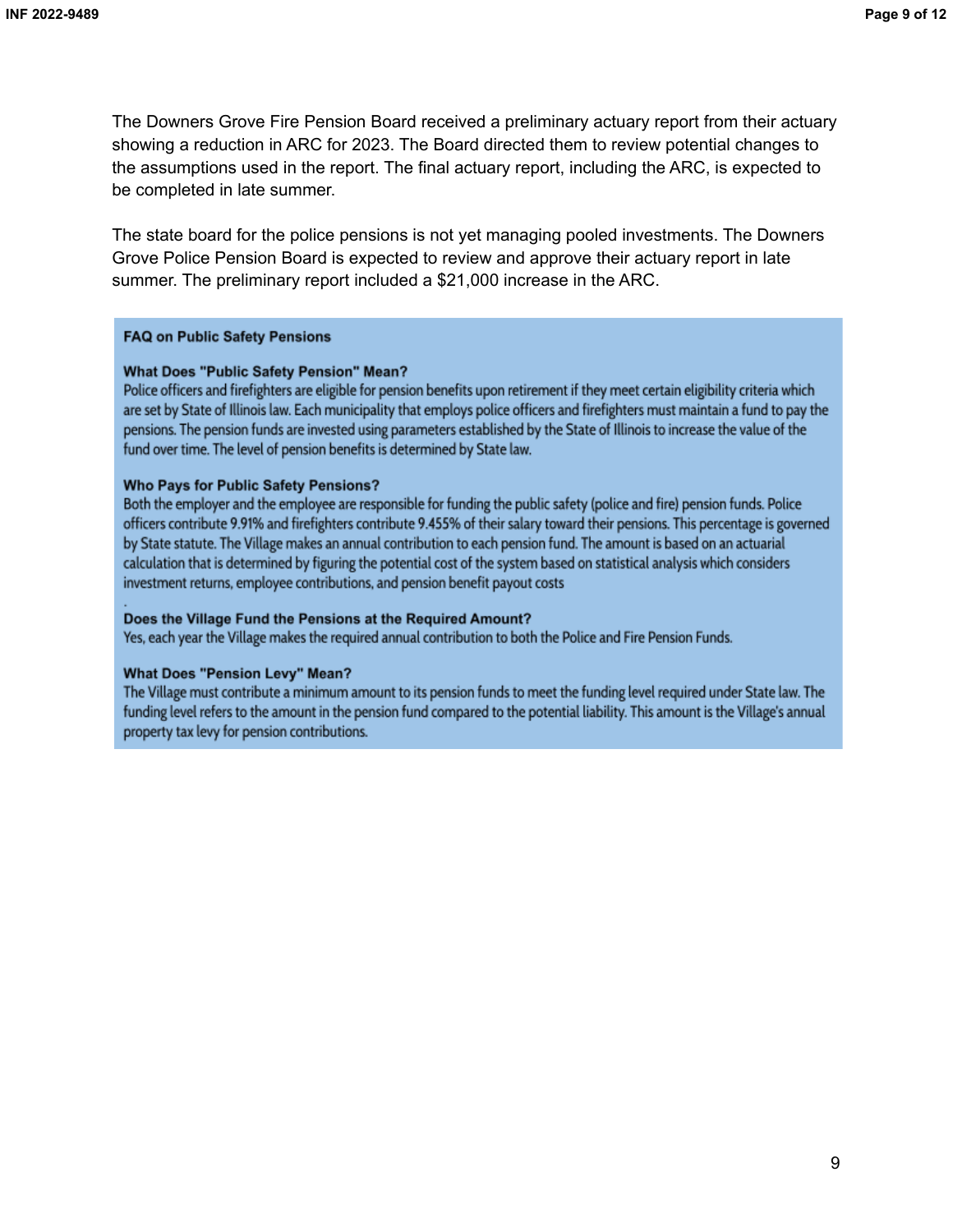The Downers Grove Fire Pension Board received a preliminary actuary report from their actuary showing a reduction in ARC for 2023. The Board directed them to review potential changes to the assumptions used in the report. The final actuary report, including the ARC, is expected to be completed in late summer.

The state board for the police pensions is not yet managing pooled investments. The Downers Grove Police Pension Board is expected to review and approve their actuary report in late summer. The preliminary report included a \$21,000 increase in the ARC.

#### **FAQ on Public Safety Pensions**

#### **What Does "Public Safety Pension" Mean?**

Police officers and firefighters are eligible for pension benefits upon retirement if they meet certain eligibility criteria which are set by State of Illinois law. Each municipality that employs police officers and firefighters must maintain a fund to pay the pensions. The pension funds are invested using parameters established by the State of Illinois to increase the value of the fund over time. The level of pension benefits is determined by State law.

#### **Who Pays for Public Safety Pensions?**

Both the employer and the employee are responsible for funding the public safety (police and fire) pension funds. Police officers contribute 9.91% and firefighters contribute 9.455% of their salary toward their pensions. This percentage is governed by State statute. The Village makes an annual contribution to each pension fund. The amount is based on an actuarial calculation that is determined by figuring the potential cost of the system based on statistical analysis which considers investment returns, employee contributions, and pension benefit payout costs

#### Does the Village Fund the Pensions at the Required Amount?

Yes, each year the Village makes the required annual contribution to both the Police and Fire Pension Funds.

#### **What Does "Pension Levy" Mean?**

The Village must contribute a minimum amount to its pension funds to meet the funding level required under State law. The funding level refers to the amount in the pension fund compared to the potential liability. This amount is the Village's annual property tax levy for pension contributions.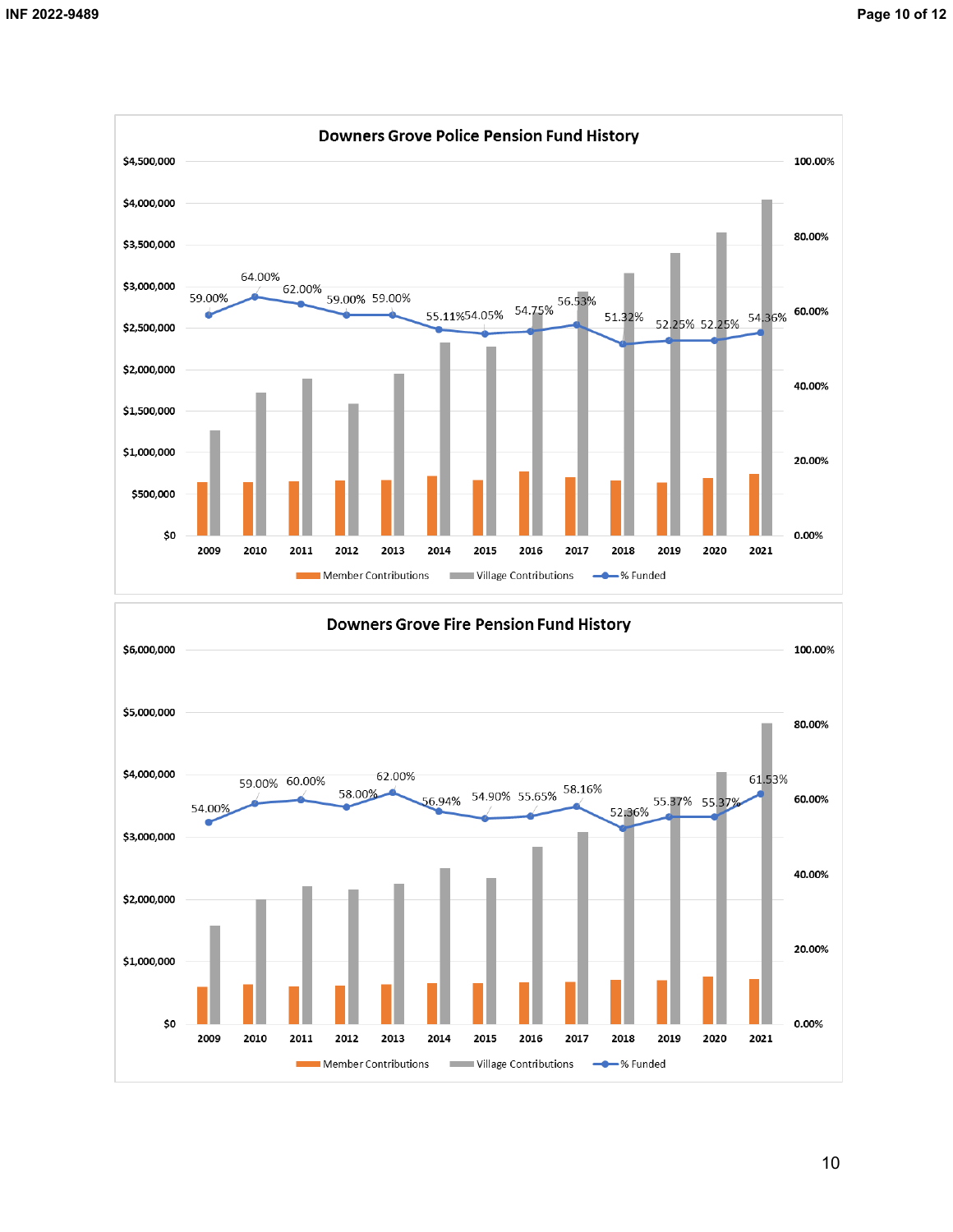

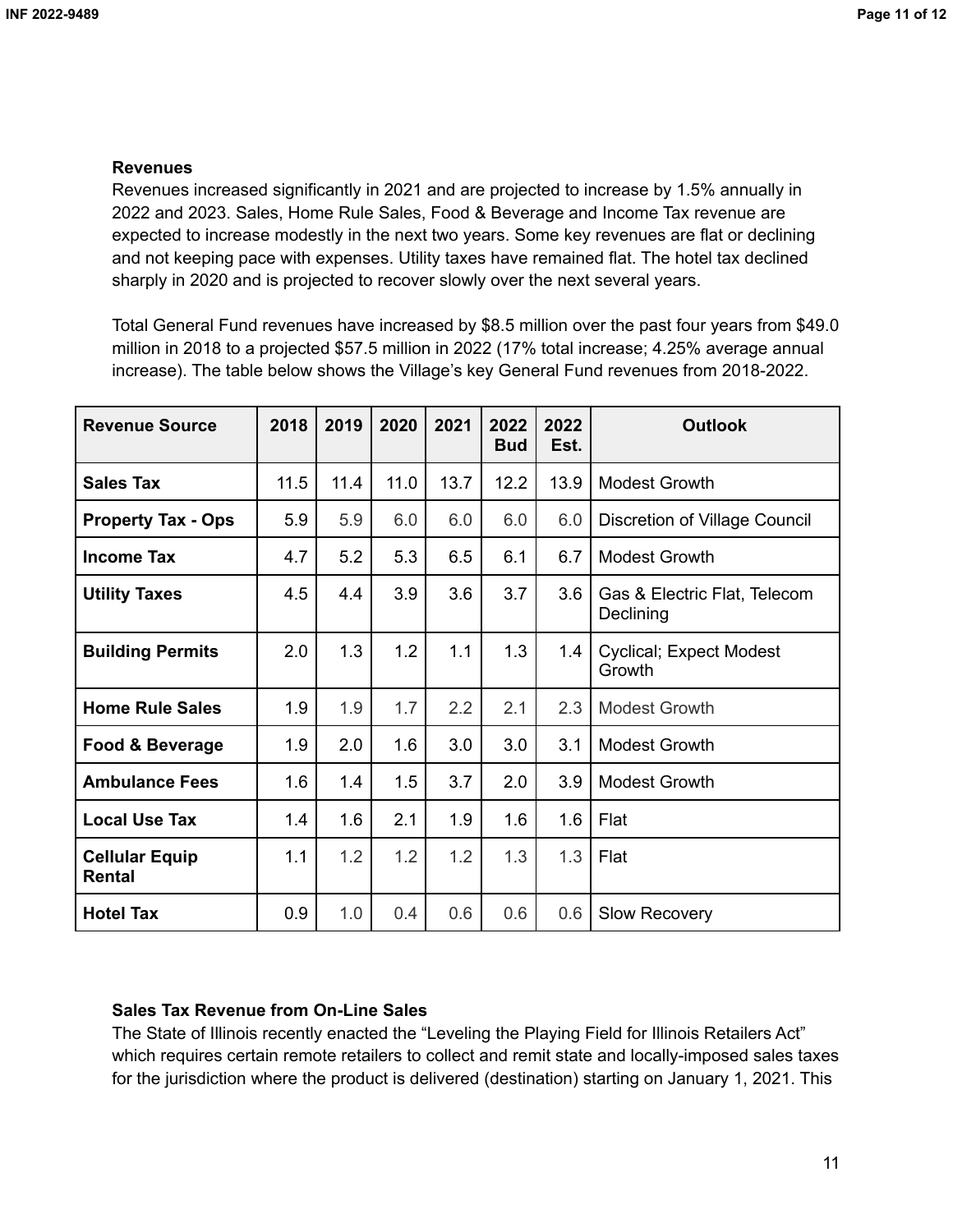## **Revenues**

Revenues increased significantly in 2021 and are projected to increase by 1.5% annually in 2022 and 2023. Sales, Home Rule Sales, Food & Beverage and Income Tax revenue are expected to increase modestly in the next two years. Some key revenues are flat or declining and not keeping pace with expenses. Utility taxes have remained flat. The hotel tax declined sharply in 2020 and is projected to recover slowly over the next several years.

Total General Fund revenues have increased by \$8.5 million over the past four years from \$49.0 million in 2018 to a projected \$57.5 million in 2022 (17% total increase; 4.25% average annual increase). The table below shows the Village's key General Fund revenues from 2018-2022.

| <b>Revenue Source</b>           | 2018 | 2019 | 2020 | 2021 | 2022<br><b>Bud</b> | 2022<br>Est. | <b>Outlook</b>                            |
|---------------------------------|------|------|------|------|--------------------|--------------|-------------------------------------------|
| <b>Sales Tax</b>                | 11.5 | 11.4 | 11.0 | 13.7 | 12.2               | 13.9         | <b>Modest Growth</b>                      |
| <b>Property Tax - Ops</b>       | 5.9  | 5.9  | 6.0  | 6.0  | 6.0                | 6.0          | <b>Discretion of Village Council</b>      |
| <b>Income Tax</b>               | 4.7  | 5.2  | 5.3  | 6.5  | 6.1                | 6.7          | <b>Modest Growth</b>                      |
| <b>Utility Taxes</b>            | 4.5  | 4.4  | 3.9  | 3.6  | 3.7                | 3.6          | Gas & Electric Flat, Telecom<br>Declining |
| <b>Building Permits</b>         | 2.0  | 1.3  | 1.2  | 1.1  | 1.3                | 1.4          | <b>Cyclical; Expect Modest</b><br>Growth  |
| <b>Home Rule Sales</b>          | 1.9  | 1.9  | 1.7  | 2.2  | 2.1                | 2.3          | <b>Modest Growth</b>                      |
| Food & Beverage                 | 1.9  | 2.0  | 1.6  | 3.0  | 3.0                | 3.1          | <b>Modest Growth</b>                      |
| <b>Ambulance Fees</b>           | 1.6  | 1.4  | 1.5  | 3.7  | 2.0                | 3.9          | <b>Modest Growth</b>                      |
| <b>Local Use Tax</b>            | 1.4  | 1.6  | 2.1  | 1.9  | 1.6                | 1.6          | Flat                                      |
| <b>Cellular Equip</b><br>Rental | 1.1  | 1.2  | 1.2  | 1.2  | 1.3                | 1.3          | Flat                                      |
| <b>Hotel Tax</b>                | 0.9  | 1.0  | 0.4  | 0.6  | 0.6                | 0.6          | <b>Slow Recovery</b>                      |

## **Sales Tax Revenue from On-Line Sales**

The State of Illinois recently enacted the "Leveling the Playing Field for Illinois Retailers Act" which requires certain remote retailers to collect and remit state and locally-imposed sales taxes for the jurisdiction where the product is delivered (destination) starting on January 1, 2021. This